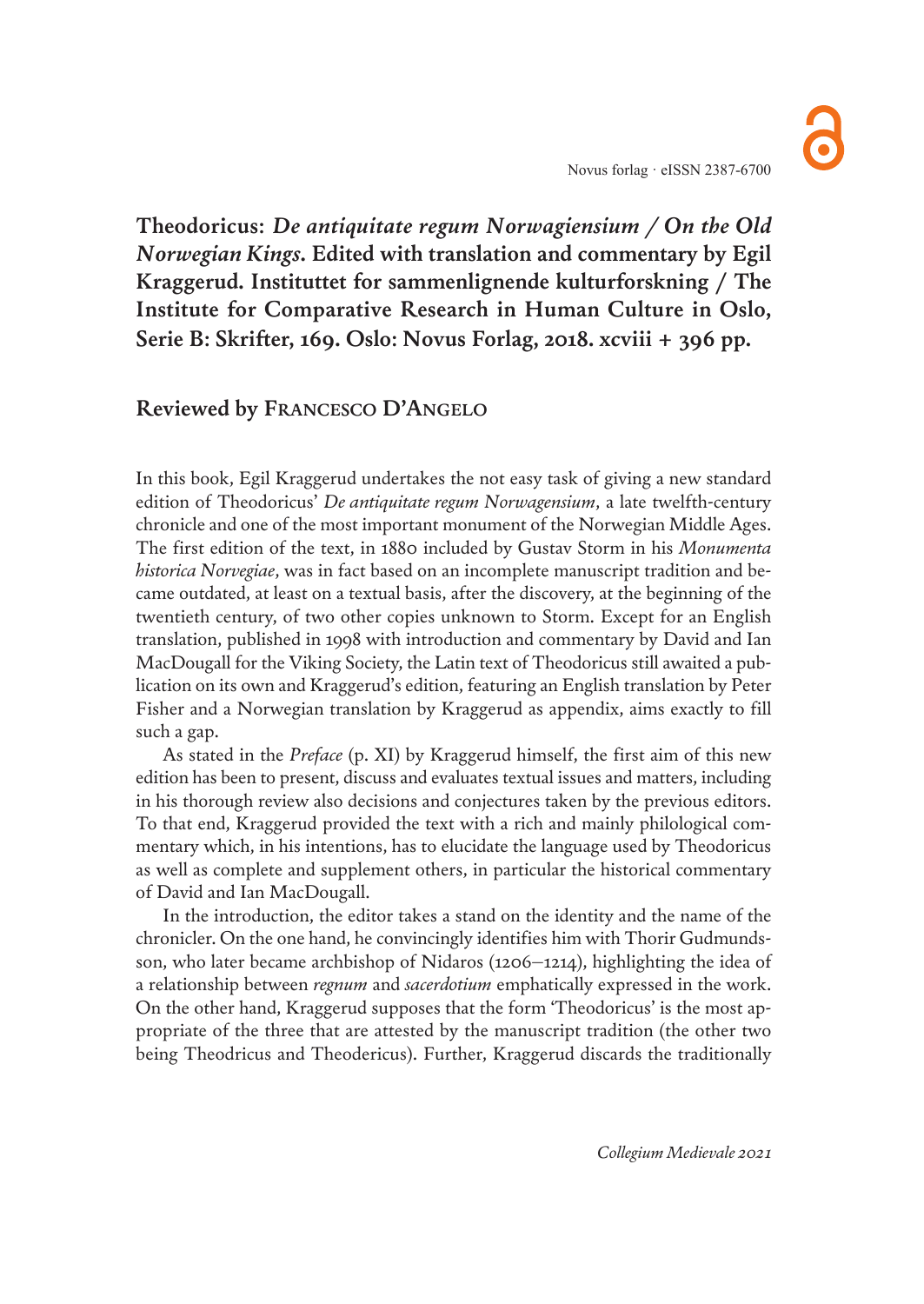**Theodoricus:** *De antiquitate regum Norwagiensium / On the Old Norwegian Kings***. Edited with translation and commentary by Egil Kraggerud. Instituttet for sammenlignende kulturforskning / The Institute for Comparative Research in Human Culture in Oslo, Serie B: Skrifter, 169. Oslo: Novus Forlag, 2018. xcviii + 396 pp.**

## **Reviewed by FRANCESCO D'ANGELO**

In this book, Egil Kraggerud undertakes the not easy task of giving a new standard edition of Theodoricus' *De antiquitate regum Norwagensium*, a late twelfth-century chronicle and one of the most important monument of the Norwegian Middle Ages. The first edition of the text, in 1880 included by Gustav Storm in his *Monumenta historica Norvegiae*, was in fact based on an incomplete manuscript tradition and became outdated, at least on a textual basis, after the discovery, at the beginning of the twentieth century, of two other copies unknown to Storm. Except for an English translation, published in 1998 with introduction and commentary by David and Ian MacDougall for the Viking Society, the Latin text of Theodoricus still awaited a publication on its own and Kraggerud's edition, featuring an English translation by Peter Fisher and a Norwegian translation by Kraggerud as appendix, aims exactly to fill such a gap.

As stated in the *Preface* (p. XI) by Kraggerud himself, the first aim of this new edition has been to present, discuss and evaluates textual issues and matters, including in his thorough review also decisions and conjectures taken by the previous editors. To that end, Kraggerud provided the text with a rich and mainly philological commentary which, in his intentions, has to elucidate the language used by Theodoricus as well as complete and supplement others, in particular the historical commentary of David and Ian MacDougall.

In the introduction, the editor takes a stand on the identity and the name of the chronicler. On the one hand, he convincingly identifies him with Thorir Gudmundsson, who later became archbishop of Nidaros (1206–1214), highlighting the idea of a relationship between *regnum* and *sacerdotium* emphatically expressed in the work. On the other hand, Kraggerud supposes that the form 'Theodoricus' is the most appropriate of the three that are attested by the manuscript tradition (the other two being Theodricus and Theodericus). Further, Kraggerud discards the traditionally